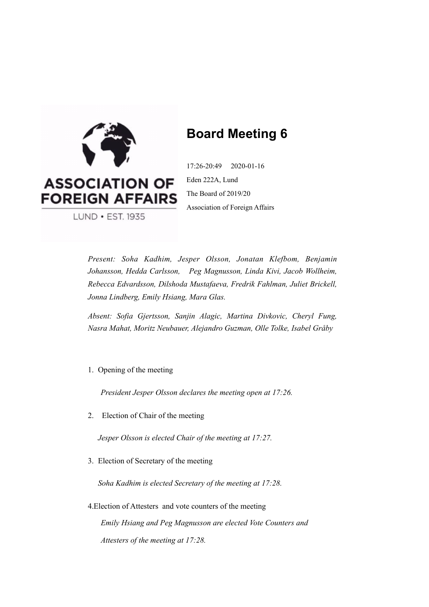

# **Board Meeting 6**

17:26-20:49 2020-01-16 Eden 222A, Lund The Board of 2019/20 Association of Foreign Affairs

LUND • EST. 1935

*Present: Soha Kadhim, Jesper Olsson, Jonatan Klefbom, Benjamin Johansson, Hedda Carlsson, Peg Magnusson, Linda Kivi, Jacob Wollheim, Rebecca Edvardsson, Dilshoda Mustafaeva, Fredrik Fahlman, Juliet Brickell, Jonna Lindberg, Emily Hsiang, Mara Glas.* 

*Absent: Sofia Gjertsson, Sanjin Alagic, Martina Divkovic, Cheryl Fung, Nasra Mahat, Moritz Neubauer, Alejandro Guzman, Olle Tolke, Isabel Gråby* 

1. Opening of the meeting

*President Jesper Olsson declares the meeting open at 17:26.*

2. Election of Chair of the meeting

*Jesper Olsson is elected Chair of the meeting at 17:27.*

3. Election of Secretary of the meeting

*Soha Kadhim is elected Secretary of the meeting at 17:28.*

4.Election of Attesters and vote counters of the meeting *Emily Hsiang and Peg Magnusson are elected Vote Counters and Attesters of the meeting at 17:28.*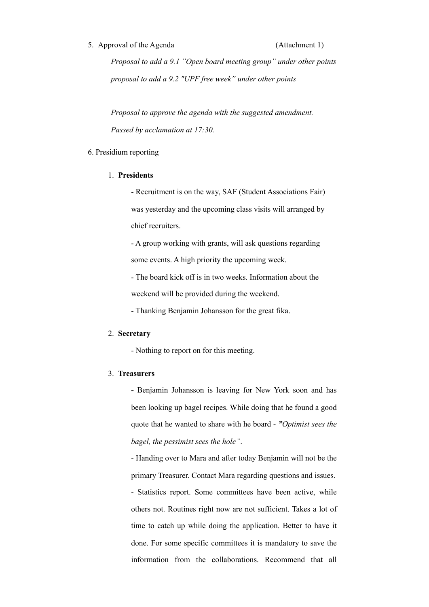#### 5. Approval of the Agenda (Attachment 1)

*Proposal to add a 9.1 "Open board meeting group" under other points proposal to add a 9.2 "UPF free week" under other points*

*Proposal to approve the agenda with the suggested amendment. Passed by acclamation at 17:30.* 

#### 6. Presidium reporting

#### 1. **Presidents**

- Recruitment is on the way, SAF (Student Associations Fair) was yesterday and the upcoming class visits will arranged by chief recruiters.

- A group working with grants, will ask questions regarding some events. A high priority the upcoming week.

- The board kick off is in two weeks. Information about the weekend will be provided during the weekend.

- Thanking Benjamin Johansson for the great fika.

#### 2. **Secretary**

- Nothing to report on for this meeting.

#### 3. **Treasurers**

**-** Benjamin Johansson is leaving for New York soon and has been looking up bagel recipes. While doing that he found a good quote that he wanted to share with he board - *"Optimist sees the bagel, the pessimist sees the hole"*.

- Handing over to Mara and after today Benjamin will not be the primary Treasurer. Contact Mara regarding questions and issues. - Statistics report. Some committees have been active, while others not. Routines right now are not sufficient. Takes a lot of time to catch up while doing the application. Better to have it done. For some specific committees it is mandatory to save the information from the collaborations. Recommend that all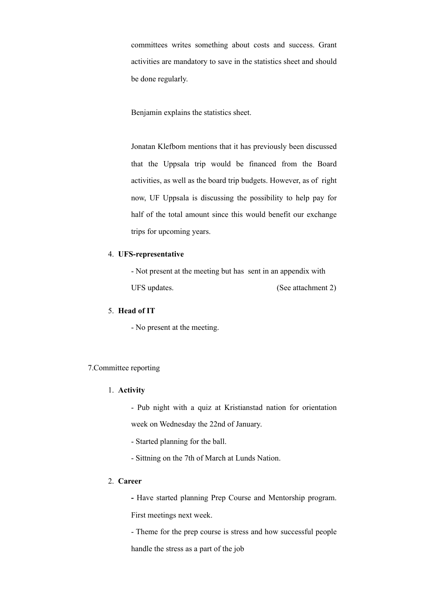committees writes something about costs and success. Grant activities are mandatory to save in the statistics sheet and should be done regularly.

Benjamin explains the statistics sheet.

Jonatan Klefbom mentions that it has previously been discussed that the Uppsala trip would be financed from the Board activities, as well as the board trip budgets. However, as of right now, UF Uppsala is discussing the possibility to help pay for half of the total amount since this would benefit our exchange trips for upcoming years.

#### 4. **UFS-representative**

- Not present at the meeting but has sent in an appendix with UFS updates. (See attachment 2)

#### 5. **Head of IT**

- No present at the meeting.

#### 7.Committee reporting

#### 1. **Activity**

- Pub night with a quiz at Kristianstad nation for orientation week on Wednesday the 22nd of January.

- Started planning for the ball.

- Sittning on the 7th of March at Lunds Nation.

#### 2. **Career**

**-** Have started planning Prep Course and Mentorship program.

First meetings next week.

- Theme for the prep course is stress and how successful people

handle the stress as a part of the job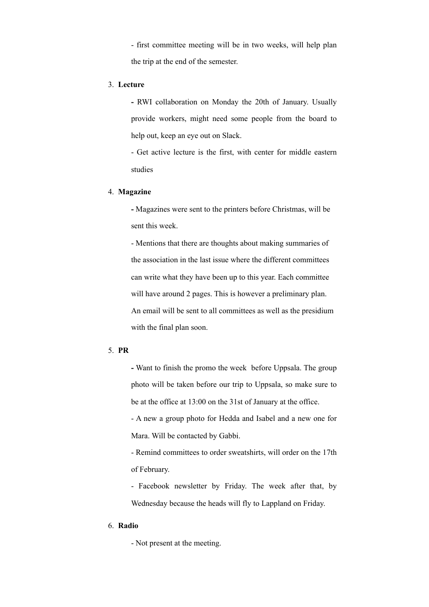- first committee meeting will be in two weeks, will help plan the trip at the end of the semester.

#### 3. **Lecture**

**-** RWI collaboration on Monday the 20th of January. Usually provide workers, might need some people from the board to help out, keep an eye out on Slack.

- Get active lecture is the first, with center for middle eastern studies

#### 4. **Magazine**

**-** Magazines were sent to the printers before Christmas, will be sent this week.

- Mentions that there are thoughts about making summaries of the association in the last issue where the different committees can write what they have been up to this year. Each committee will have around 2 pages. This is however a preliminary plan. An email will be sent to all committees as well as the presidium with the final plan soon.

#### 5. **PR**

**-** Want to finish the promo the week before Uppsala. The group photo will be taken before our trip to Uppsala, so make sure to be at the office at 13:00 on the 31st of January at the office.

- A new a group photo for Hedda and Isabel and a new one for Mara. Will be contacted by Gabbi.

- Remind committees to order sweatshirts, will order on the 17th of February.

- Facebook newsletter by Friday. The week after that, by Wednesday because the heads will fly to Lappland on Friday.

#### 6. **Radio**

- Not present at the meeting.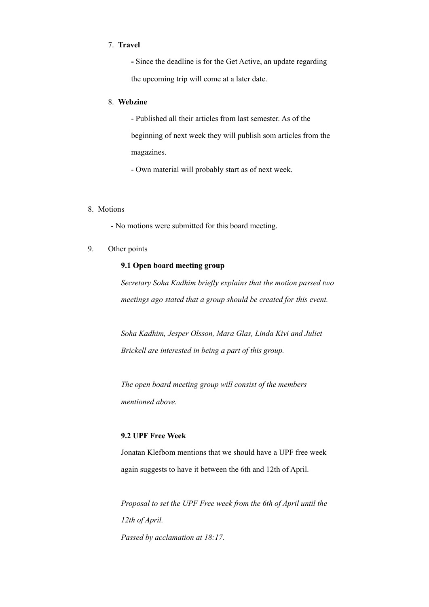#### 7. **Travel**

**-** Since the deadline is for the Get Active, an update regarding the upcoming trip will come at a later date.

#### 8. **Webzine**

- Published all their articles from last semester. As of the beginning of next week they will publish som articles from the magazines.

- Own material will probably start as of next week.

#### 8. Motions

- No motions were submitted for this board meeting.

#### 9. Other points

#### **9.1 Open board meeting group**

*Secretary Soha Kadhim briefly explains that the motion passed two meetings ago stated that a group should be created for this event.* 

*Soha Kadhim, Jesper Olsson, Mara Glas, Linda Kivi and Juliet Brickell are interested in being a part of this group.* 

*The open board meeting group will consist of the members mentioned above.* 

#### **9.2 UPF Free Week**

Jonatan Klefbom mentions that we should have a UPF free week again suggests to have it between the 6th and 12th of April.

*Proposal to set the UPF Free week from the 6th of April until the 12th of April. Passed by acclamation at 18:17.*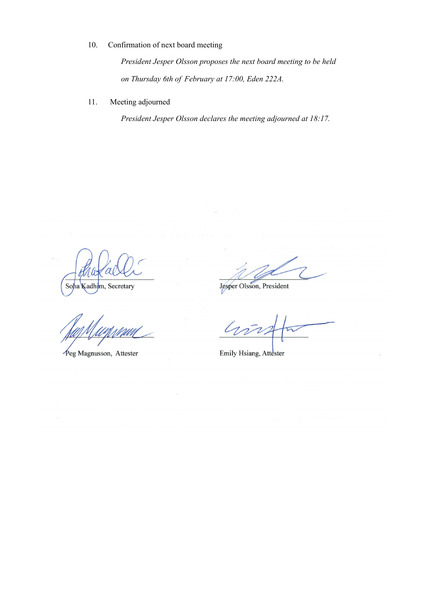### 10. Confirmation of next board meeting

*President Jesper Olsson proposes the next board meeting to be held on Thursday 6th of February at 17:00, Eden 222A.* 

#### 11. Meeting adjourned

*President Jesper Olsson declares the meeting adjourned at 18:17.* 

Soha Kadhim, Secretary

Peg Magnusson, Attester

Jesper Olsson, President

L

Emily Hsiang, Attester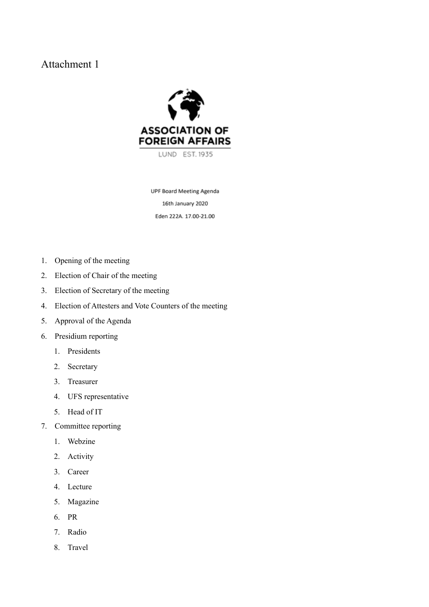## Attachment 1



**UPF Board Meeting Agenda** 16th January 2020 Eden 222A. 17.00-21.00

- 1. Opening of the meeting
- 2. Election of Chair of the meeting
- 3. Election of Secretary of the meeting
- 4. Election of Attesters and Vote Counters of the meeting
- 5. Approval of the Agenda
- 6. Presidium reporting
	- 1. Presidents
	- 2. Secretary
	- 3. Treasurer
	- 4. UFS representative
	- 5. Head of IT
- 7. Committee reporting
	- 1. Webzine
	- 2. Activity
	- 3. Career
	- 4. Lecture
	- 5. Magazine
	- 6. PR
	- 7. Radio
	- 8. Travel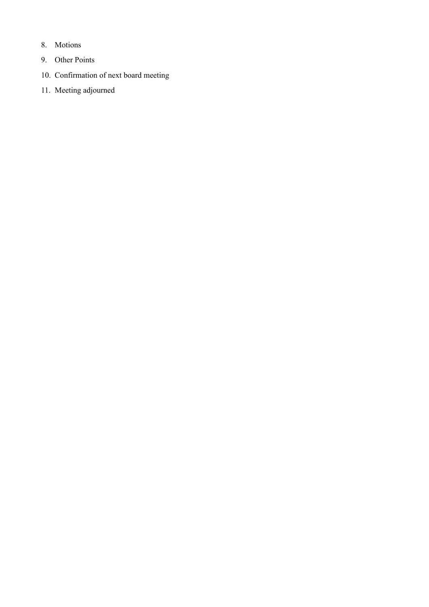- 8. Motions
- 9. Other Points
- 10. Confirmation of next board meeting
- 11. Meeting adjourned